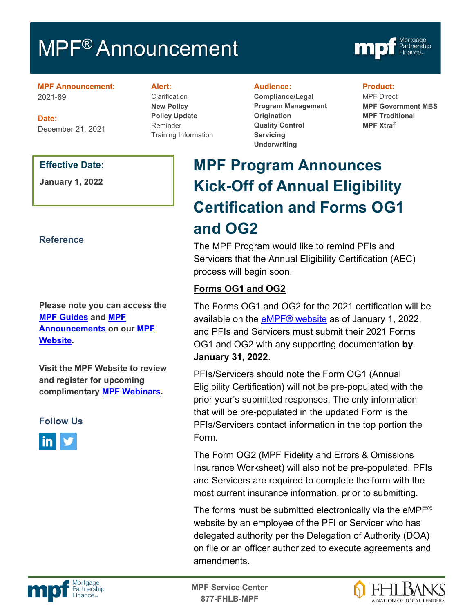# MPF<sup>®</sup> Announcement



**MPF Announcement:** 2021-89

**Date:** December 21, 2021

#### **Effective Date:**

**January 1, 2022**

## **Reference**

**Please note you can access the [MPF Guides](https://fhlbmpf.com/mpf-guides/guides) and [MPF](https://fhlbmpf.com/mpf-guides/announcements)  [Announcements](https://fhlbmpf.com/mpf-guides/announcements) on our [MPF](https://fhlbmpf.com/)  [Website.](https://fhlbmpf.com/)** 

**Visit the MPF Website to review and register for upcoming complimentary [MPF Webinars.](https://www.fhlbmpf.com/education/upcoming-webinars)**

# **Follow Us**



#### **Alert:**

**Clarification New Policy Policy Update** Reminder Training Information

#### **Audience:**

**Compliance/Legal Program Management Origination Quality Control Servicing Underwriting**

#### **Product:**

MPF Direct **MPF Government MBS MPF Traditional MPF Xtra®**

# **MPF Program Announces Kick-Off of Annual Eligibility Certification and Forms OG1 and OG2**

The MPF Program would like to remind PFIs and Servicers that the Annual Eligibility Certification (AEC) process will begin soon.

# **Forms OG1 and OG2**

The Forms OG1 and OG2 for the 2021 certification will be available on the **eMPF®** website as of January 1, 2022, and PFIs and Servicers must submit their 2021 Forms OG1 and OG2 with any supporting documentation **by January 31, 2022**.

PFIs/Servicers should note the Form OG1 (Annual Eligibility Certification) will not be pre-populated with the prior year's submitted responses. The only information that will be pre-populated in the updated Form is the PFIs/Servicers contact information in the top portion the Form.

The Form OG2 (MPF Fidelity and Errors & Omissions Insurance Worksheet) will also not be pre-populated. PFIs and Servicers are required to complete the form with the most current insurance information, prior to submitting.

The forms must be submitted electronically via the eMPF® website by an employee of the PFI or Servicer who has delegated authority per the Delegation of Authority (DOA) on file or an officer authorized to execute agreements and amendments.